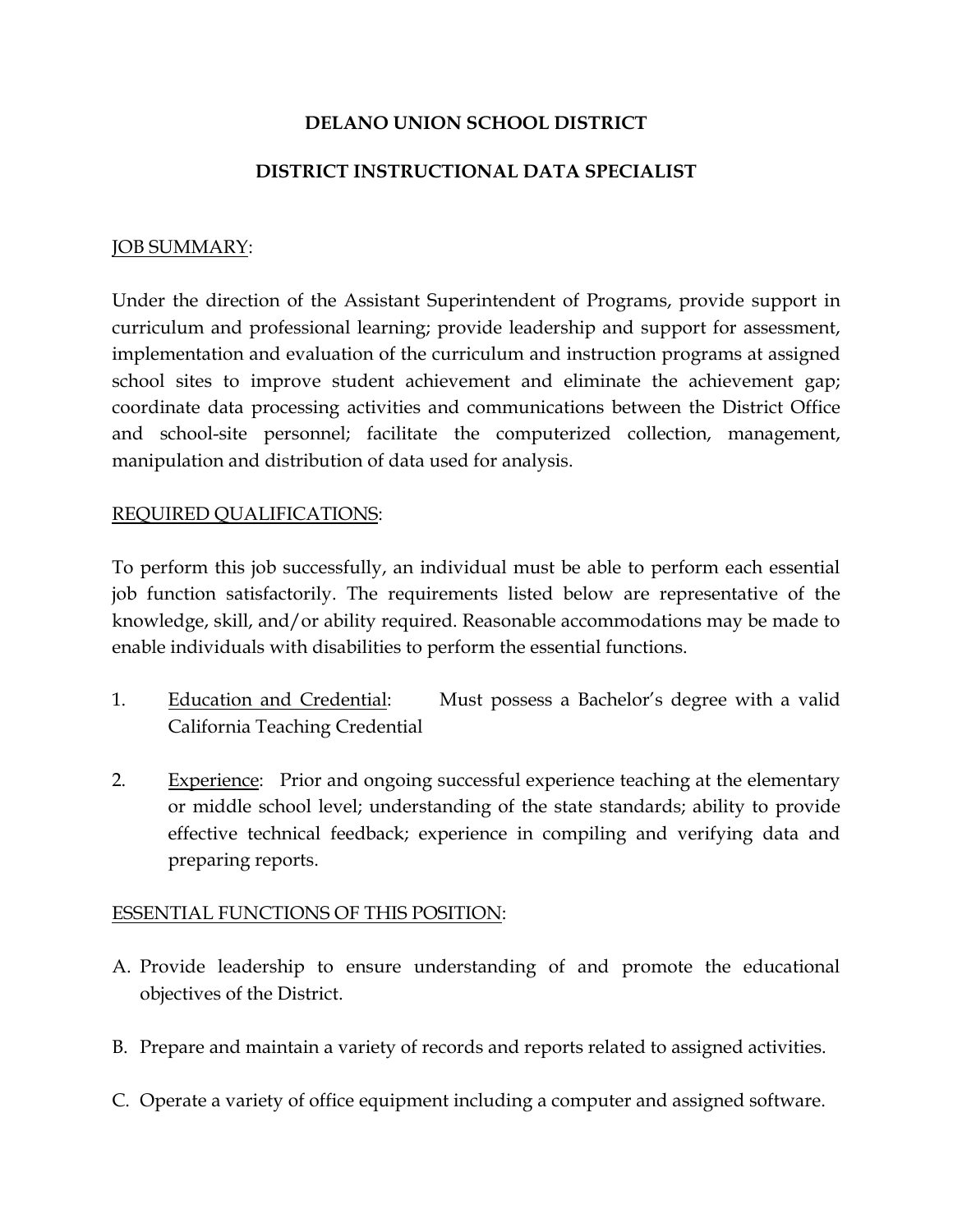## DELANO UNION SCHOOL DISTRICT

### DISTRICT INSTRUCTIONAL DATA SPECIALIST

#### JOB SUMMARY:

Under the direction of the Assistant Superintendent of Programs, provide support in curriculum and professional learning; provide leadership and support for assessment, implementation and evaluation of the curriculum and instruction programs at assigned school sites to improve student achievement and eliminate the achievement gap; coordinate data processing activities and communications between the District Office and school-site personnel; facilitate the computerized collection, management, manipulation and distribution of data used for analysis.

#### REQUIRED QUALIFICATIONS:

To perform this job successfully, an individual must be able to perform each essential job function satisfactorily. The requirements listed below are representative of the knowledge, skill, and/or ability required. Reasonable accommodations may be made to enable individuals with disabilities to perform the essential functions.

- 1. Education and Credential: Must possess a Bachelor's degree with a valid California Teaching Credential
- 2. Experience: Prior and ongoing successful experience teaching at the elementary or middle school level; understanding of the state standards; ability to provide effective technical feedback; experience in compiling and verifying data and preparing reports.

#### ESSENTIAL FUNCTIONS OF THIS POSITION:

- A. Provide leadership to ensure understanding of and promote the educational objectives of the District.
- B. Prepare and maintain a variety of records and reports related to assigned activities.
- C. Operate a variety of office equipment including a computer and assigned software.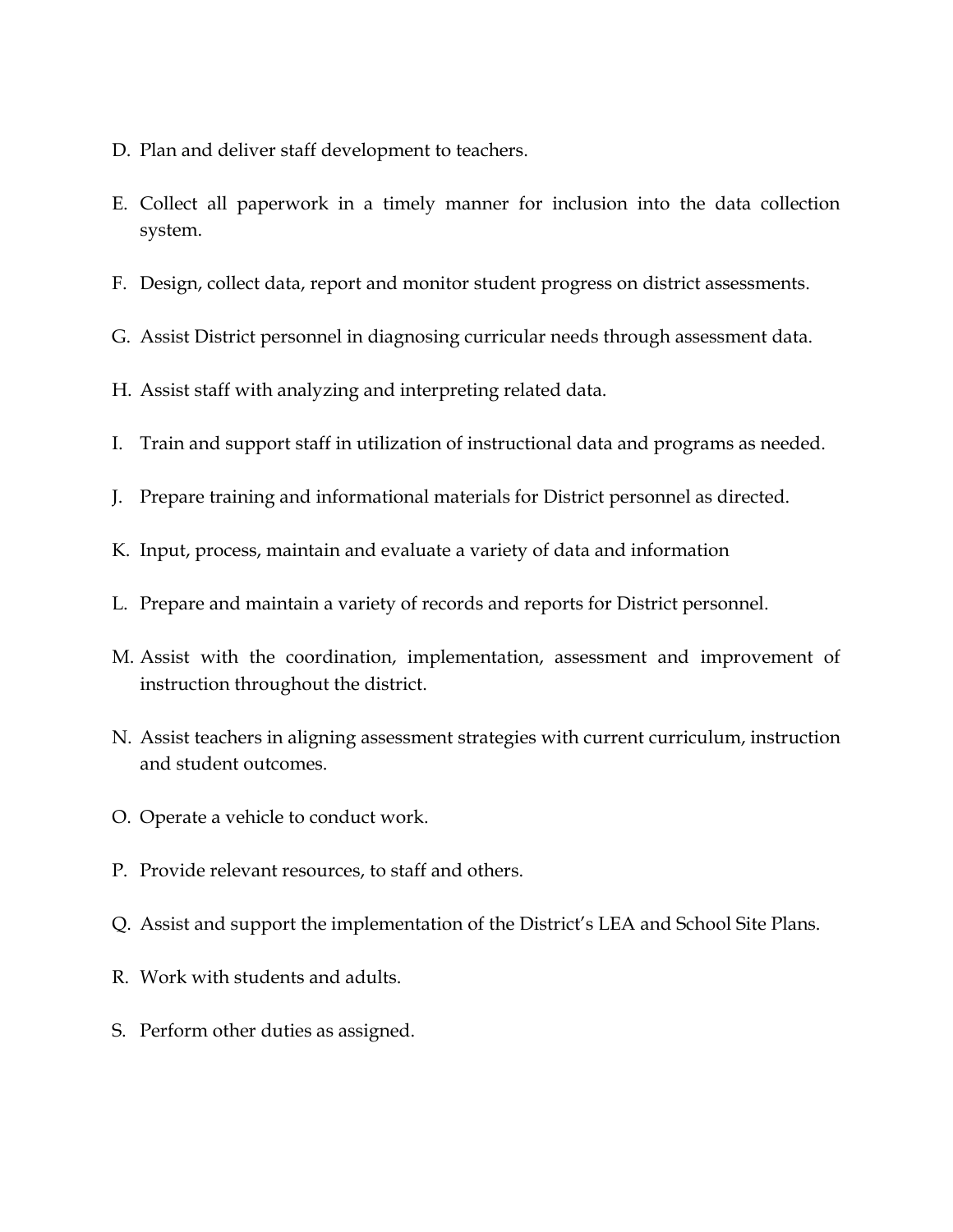- D. Plan and deliver staff development to teachers.
- E. Collect all paperwork in a timely manner for inclusion into the data collection system.
- F. Design, collect data, report and monitor student progress on district assessments.
- G. Assist District personnel in diagnosing curricular needs through assessment data.
- H. Assist staff with analyzing and interpreting related data.
- I. Train and support staff in utilization of instructional data and programs as needed.
- J. Prepare training and informational materials for District personnel as directed.
- K. Input, process, maintain and evaluate a variety of data and information
- L. Prepare and maintain a variety of records and reports for District personnel.
- M. Assist with the coordination, implementation, assessment and improvement of instruction throughout the district.
- N. Assist teachers in aligning assessment strategies with current curriculum, instruction and student outcomes.
- O. Operate a vehicle to conduct work.
- P. Provide relevant resources, to staff and others.
- Q. Assist and support the implementation of the District's LEA and School Site Plans.
- R. Work with students and adults.
- S. Perform other duties as assigned.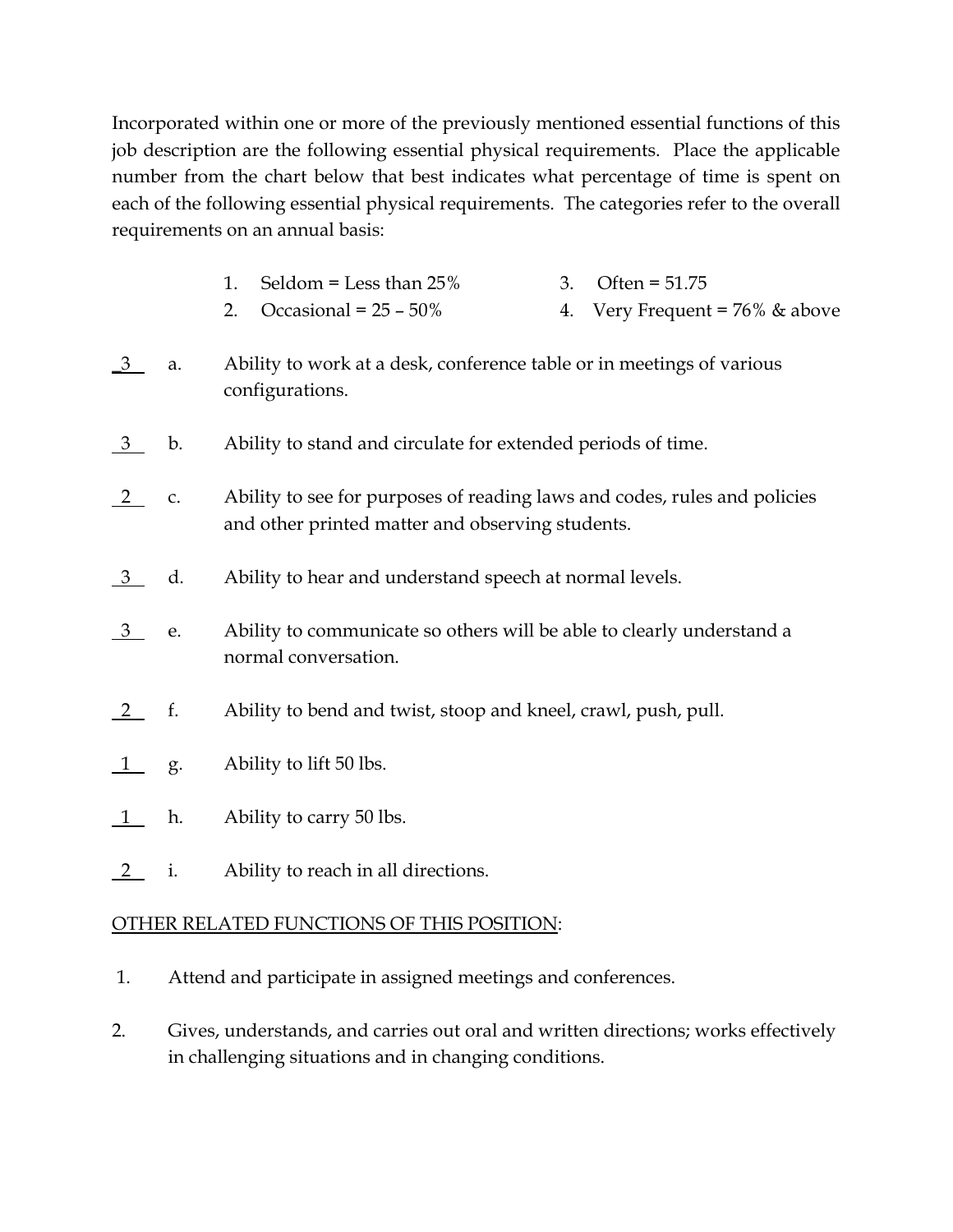Incorporated within one or more of the previously mentioned essential functions of this job description are the following essential physical requirements. Place the applicable number from the chart below that best indicates what percentage of time is spent on each of the following essential physical requirements. The categories refer to the overall requirements on an annual basis:

- 1. Seldom = Less than  $25\%$  3. Often =  $51.75$
- 2. Occasional =  $25 50\%$  4. Very Frequent =  $76\%$  & above
- \_3 a. Ability to work at a desk, conference table or in meetings of various configurations.
- 3 b. Ability to stand and circulate for extended periods of time.
- 2 c. Ability to see for purposes of reading laws and codes, rules and policies and other printed matter and observing students.
- <u>3</u> d. Ability to hear and understand speech at normal levels.
- $\frac{3}{2}$  e. Ability to communicate so others will be able to clearly understand a normal conversation.
- 2 f. Ability to bend and twist, stoop and kneel, crawl, push, pull.
- $\frac{1}{1}$  g. Ability to lift 50 lbs.
- $\frac{1}{1}$  h. Ability to carry 50 lbs.
- 2 i. Ability to reach in all directions.

# OTHER RELATED FUNCTIONS OF THIS POSITION:

- 1. Attend and participate in assigned meetings and conferences.
- 2. Gives, understands, and carries out oral and written directions; works effectively in challenging situations and in changing conditions.